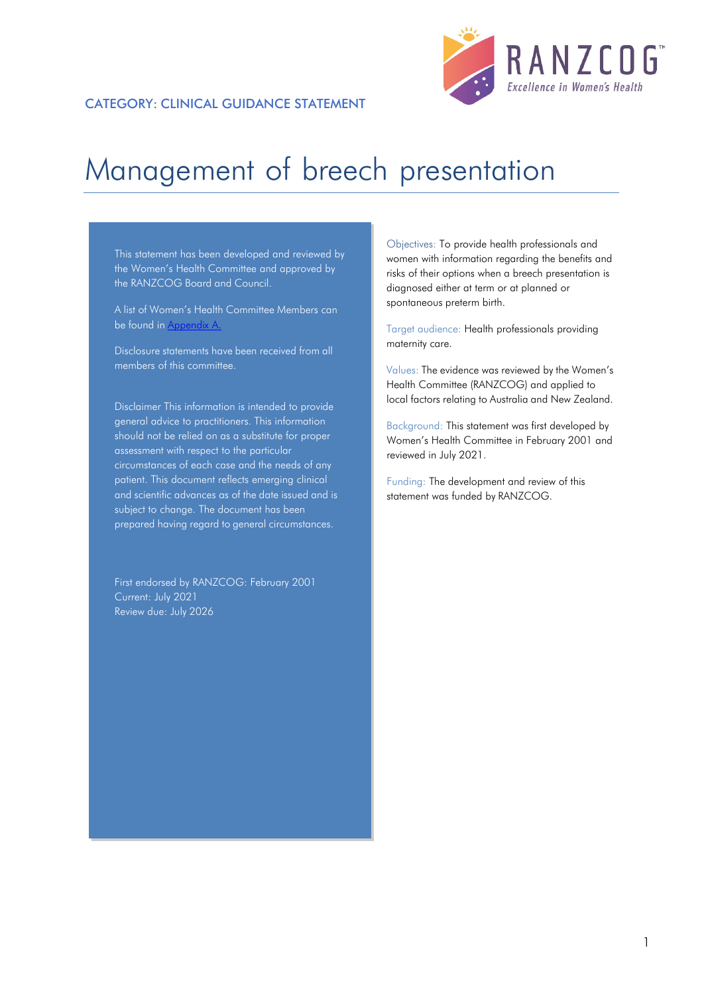

# Management of breech presentation

This statement has been developed and reviewed by the Women's Health Committee and approved by the RANZCOG Board and Council.

A list of Women's Health Committee Members can be found in Appendix A.

Disclosure statements have been received from all members of this committee.

Disclaimer This information is intended to provide general advice to practitioners. This information should not be relied on as a substitute for proper assessment with respect to the particular circumstances of each case and the needs of any patient. This document reflects emerging clinical and scientific advances as of the date issued and is subject to change. The document has been prepared having regard to general circumstances.

First endorsed by RANZCOG: February 2001 Current: July 2021 Review due: July 2026

Objectives: To provide health professionals and women with information regarding the benefits and risks of their options when a breech presentation is diagnosed either at term or at planned or spontaneous preterm birth.

Target audience: Health professionals providing maternity care.

Values: The evidence was reviewed by the Women's Health Committee (RANZCOG) and applied to local factors relating to Australia and New Zealand.

Background: This statement was first developed by Women's Health Committee in February 2001 and reviewed in July 2021.

Funding: The development and review of this statement was funded by RANZCOG.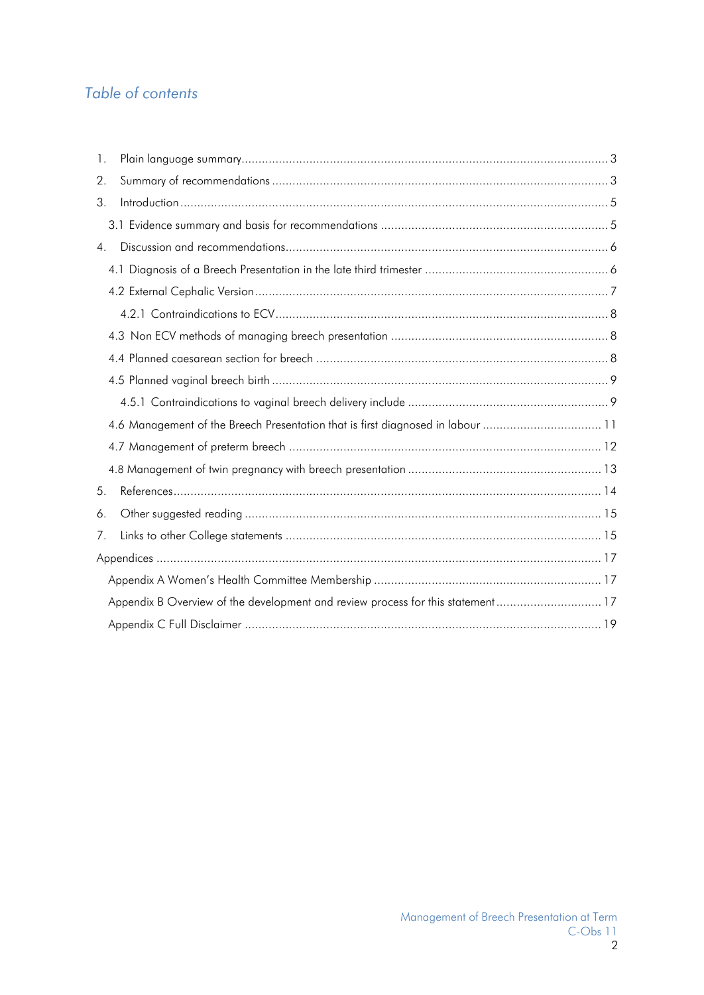# Table of contents

| 1.                                                                              |  |
|---------------------------------------------------------------------------------|--|
| 2.                                                                              |  |
| 3.                                                                              |  |
|                                                                                 |  |
| 4 <sub>1</sub>                                                                  |  |
|                                                                                 |  |
|                                                                                 |  |
|                                                                                 |  |
|                                                                                 |  |
|                                                                                 |  |
|                                                                                 |  |
|                                                                                 |  |
| 4.6 Management of the Breech Presentation that is first diagnosed in labour 11  |  |
|                                                                                 |  |
|                                                                                 |  |
| 5.                                                                              |  |
| 6.                                                                              |  |
| 7.                                                                              |  |
|                                                                                 |  |
|                                                                                 |  |
| Appendix B Overview of the development and review process for this statement 17 |  |
|                                                                                 |  |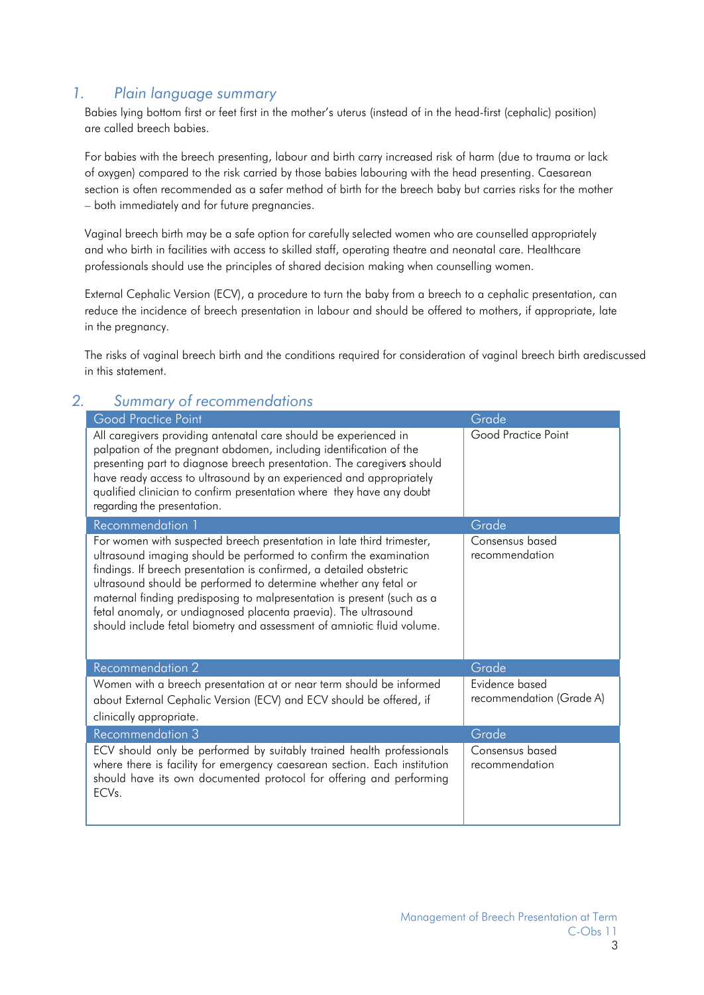## <span id="page-2-0"></span>*1. Plain language summary*

Babies lying bottom first or feet first in the mother's uterus (instead of in the head-first (cephalic) position) are called breech babies.

For babies with the breech presenting, labour and birth carry increased risk of harm (due to trauma or lack of oxygen) compared to the risk carried by those babies labouring with the head presenting. Caesarean section is often recommended as a safer method of birth for the breech baby but carries risks for the mother – both immediately and for future pregnancies.

Vaginal breech birth may be a safe option for carefully selected women who are counselled appropriately and who birth in facilities with access to skilled staff, operating theatre and neonatal care. Healthcare professionals should use the principles of shared decision making when counselling women.

External Cephalic Version (ECV), a procedure to turn the baby from a breech to a cephalic presentation, can reduce the incidence of breech presentation in labour and should be offered to mothers, if appropriate, late in the pregnancy.

The risks of vaginal breech birth and the conditions required for consideration of vaginal breech birth arediscussed in this statement.

| ۷. | <u>JUININITY OF RECOMMENDATIONS</u>                                                                                                                                                                                                                                                                                                                                                                                                                                                                          |                                            |
|----|--------------------------------------------------------------------------------------------------------------------------------------------------------------------------------------------------------------------------------------------------------------------------------------------------------------------------------------------------------------------------------------------------------------------------------------------------------------------------------------------------------------|--------------------------------------------|
|    | <b>Good Practice Point</b>                                                                                                                                                                                                                                                                                                                                                                                                                                                                                   | Grade                                      |
|    | All caregivers providing antenatal care should be experienced in<br>palpation of the pregnant abdomen, including identification of the<br>presenting part to diagnose breech presentation. The caregivers should<br>have ready access to ultrasound by an experienced and appropriately<br>qualified clinician to confirm presentation where they have any doubt<br>regarding the presentation.                                                                                                              | Good Practice Point                        |
|    | <b>Recommendation 1</b>                                                                                                                                                                                                                                                                                                                                                                                                                                                                                      | Grade                                      |
|    | For women with suspected breech presentation in late third trimester,<br>ultrasound imaging should be performed to confirm the examination<br>findings. If breech presentation is confirmed, a detailed obstetric<br>ultrasound should be performed to determine whether any fetal or<br>maternal finding predisposing to malpresentation is present (such as a<br>fetal anomaly, or undiagnosed placenta praevia). The ultrasound<br>should include fetal biometry and assessment of amniotic fluid volume. | Consensus based<br>recommendation          |
|    | <b>Recommendation 2</b>                                                                                                                                                                                                                                                                                                                                                                                                                                                                                      | Grade                                      |
|    | Women with a breech presentation at or near term should be informed<br>about External Cephalic Version (ECV) and ECV should be offered, if<br>clinically appropriate.                                                                                                                                                                                                                                                                                                                                        | Evidence based<br>recommendation (Grade A) |
|    | <b>Recommendation 3</b>                                                                                                                                                                                                                                                                                                                                                                                                                                                                                      | Grade                                      |
|    | ECV should only be performed by suitably trained health professionals<br>where there is facility for emergency caesarean section. Each institution<br>should have its own documented protocol for offering and performing<br>ECV <sub>s</sub> .                                                                                                                                                                                                                                                              | Consensus based<br>recommendation          |

## <span id="page-2-1"></span>*2. Summary of recommendations*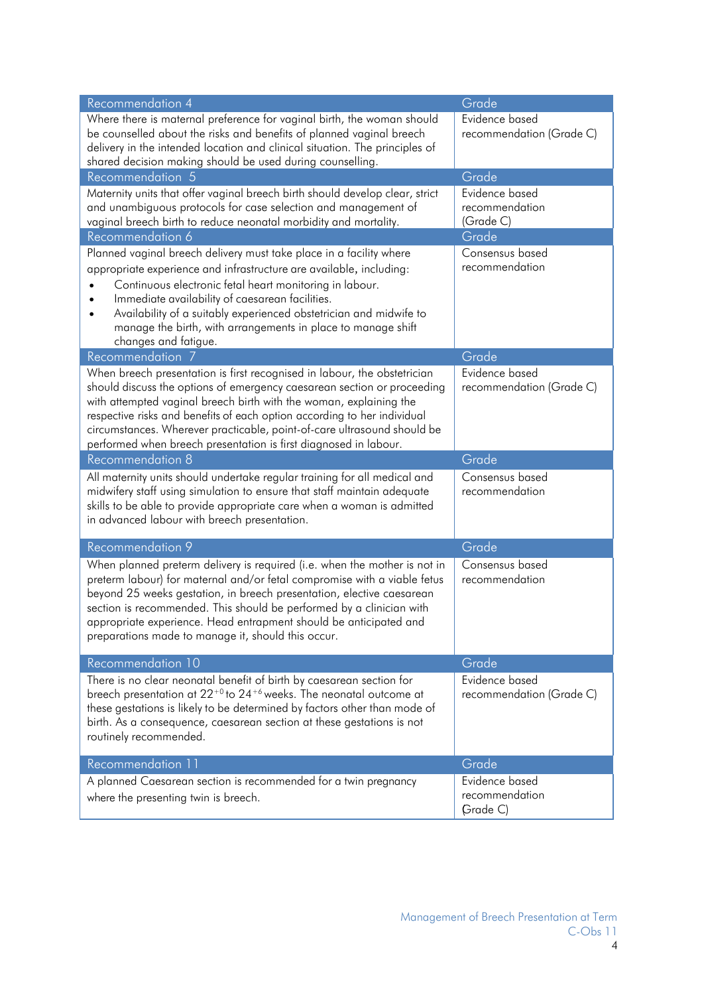| <b>Recommendation 4</b>                                                                                                            | Grade                       |
|------------------------------------------------------------------------------------------------------------------------------------|-----------------------------|
| Where there is maternal preference for vaginal birth, the woman should                                                             | Evidence based              |
| be counselled about the risks and benefits of planned vaginal breech                                                               | recommendation (Grade C)    |
| delivery in the intended location and clinical situation. The principles of                                                        |                             |
| shared decision making should be used during counselling.                                                                          |                             |
| Recommendation 5                                                                                                                   | Grade                       |
| Maternity units that offer vaginal breech birth should develop clear, strict                                                       | Evidence based              |
| and unambiguous protocols for case selection and management of<br>vaginal breech birth to reduce neonatal morbidity and mortality. | recommendation<br>(Grade C) |
| Recommendation 6                                                                                                                   | Grade                       |
| Planned vaginal breech delivery must take place in a facility where                                                                | Consensus based             |
| appropriate experience and infrastructure are available, including:                                                                | recommendation              |
| Continuous electronic fetal heart monitoring in labour.                                                                            |                             |
| Immediate availability of caesarean facilities.                                                                                    |                             |
| Availability of a suitably experienced obstetrician and midwife to                                                                 |                             |
| manage the birth, with arrangements in place to manage shift                                                                       |                             |
| changes and fatigue.                                                                                                               |                             |
| Recommendation 7                                                                                                                   | Grade                       |
| When breech presentation is first recognised in labour, the obstetrician                                                           | Evidence based              |
| should discuss the options of emergency caesarean section or proceeding                                                            | recommendation (Grade C)    |
| with attempted vaginal breech birth with the woman, explaining the                                                                 |                             |
| respective risks and benefits of each option according to her individual                                                           |                             |
| circumstances. Wherever practicable, point-of-care ultrasound should be                                                            |                             |
| performed when breech presentation is first diagnosed in labour.                                                                   |                             |
|                                                                                                                                    |                             |
| <b>Recommendation 8</b>                                                                                                            | Grade                       |
| All maternity units should undertake regular training for all medical and                                                          | Consensus based             |
| midwifery staff using simulation to ensure that staff maintain adequate                                                            | recommendation              |
| skills to be able to provide appropriate care when a woman is admitted                                                             |                             |
| in advanced labour with breech presentation.                                                                                       |                             |
|                                                                                                                                    |                             |
| Recommendation 9                                                                                                                   | Grade                       |
| When planned preterm delivery is required (i.e. when the mother is not in                                                          | Consensus based             |
| preterm labour) for maternal and/or fetal compromise with a viable fetus                                                           | recommendation              |
| beyond 25 weeks gestation, in breech presentation, elective caesarean                                                              |                             |
| section is recommended. This should be performed by a clinician with                                                               |                             |
| appropriate experience. Head entrapment should be anticipated and<br>preparations made to manage it, should this occur.            |                             |
|                                                                                                                                    |                             |
| Recommendation 10                                                                                                                  | Grade                       |
| There is no clear neonatal benefit of birth by caesarean section for                                                               | Evidence based              |
| breech presentation at 22 <sup>+0</sup> to 24 <sup>+6</sup> weeks. The neonatal outcome at                                         | recommendation (Grade C)    |
| these gestations is likely to be determined by factors other than mode of                                                          |                             |
| birth. As a consequence, caesarean section at these gestations is not                                                              |                             |
| routinely recommended.                                                                                                             |                             |
| Recommendation 11                                                                                                                  | Grade                       |
|                                                                                                                                    | Evidence based              |
| A planned Caesarean section is recommended for a twin pregnancy<br>where the presenting twin is breech.                            | recommendation              |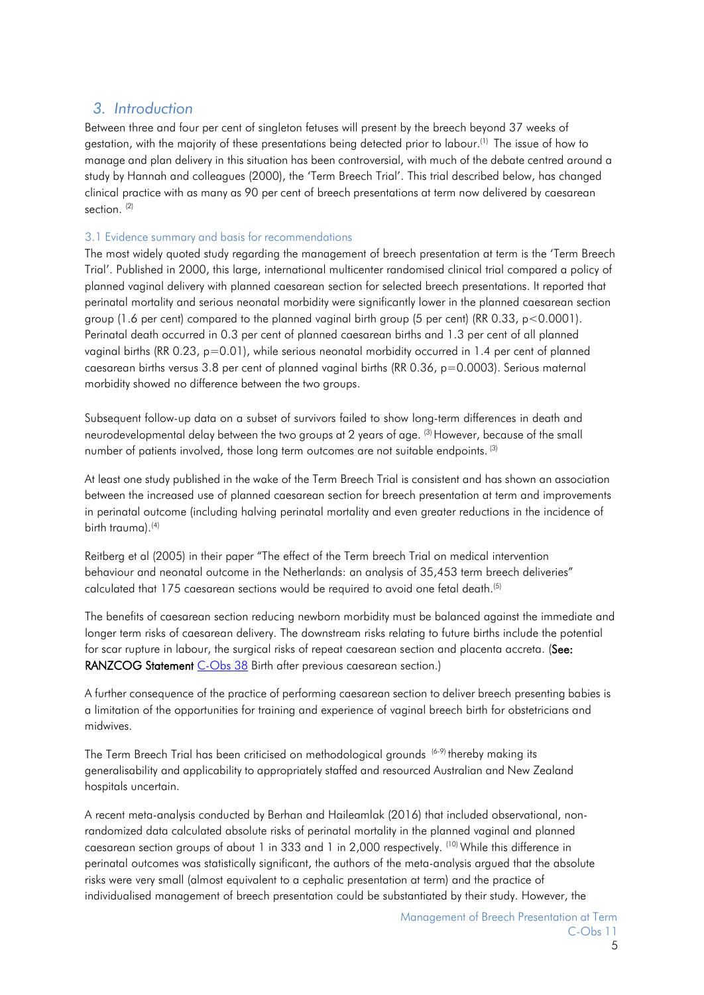## <span id="page-4-0"></span>*3. Introduction*

Between three and four per cent of singleton fetuses will present by the breech beyond 37 weeks of gestation, with the majority of these presentations being detected prior to labour.<sup>(1)</sup> [T](#page-13-2)he issue of how to manage and plan delivery in this situation has been controversial, with much of the debate centred around a study by Hannah and colleagues (2000), the 'Term Breech Trial'. This trial described below, has changed clinical practice with as many as 90 per cent of breech presentations at term now delivered by caesarean section.<sup>[\(2\)](#page-13-3)</sup>

## <span id="page-4-1"></span>3.1 Evidence summary and basis for recommendations

The most widely quoted study regarding the management of breech presentation at term is the 'Term Breech Trial'. Published in 2000, this large, international multicenter randomised clinical trial compared a policy of planned vaginal delivery with planned caesarean section for selected breech presentations. It reported that perinatal mortality and serious neonatal morbidity were significantly lower in the planned caesarean section group (1.6 per cent) compared to the planned vaginal birth group (5 per cent) (RR 0.33,  $p < 0.0001$ ). Perinatal death occurred in 0.3 per cent of planned caesarean births and 1.3 per cent of all planned vaginal births (RR 0.23, p=0.01), while serious neonatal morbidity occurred in 1.4 per cent of planned caesarean births versus 3.8 per cent of planned vaginal births (RR 0.36, p=0.0003). Serious maternal morbidity showed no difference between the two groups.

Subsequent follow-up data on a subset of survivors failed to show long-term differences in death and neurodevelopmental delay between the two groups at 2 years of age. <sup>[\(3\)](#page-13-4)</sup> However, because of the small number of patients involved, those long term outcomes are not suitable endpoints. [\(3\)](#page-13-4)

At least one study published in the wake of the Term Breech Trial is consistent and has shown an association between the increased use of planned caesarean section for breech presentation at term and improvements in perinatal outcome (including halving perinatal mortality and even greater reductions in the incidence of birth trauma). [\(4\)](#page-13-5)

.Reitberg et al (2005) in their paper "The effect of the Term breech Trial on medical intervention behaviour and neonatal outcome in the Netherlands: an analysis of 35,453 term breech deliveries" calculated that 175 caesarean sections would be required to avoid one fetal death. [\(5\)](#page-13-6)

The benefits of caesarean section reducing newborn morbidity must be balanced against the immediate and longer term risks of caesarean delivery. The downstream risks relating to future births include the potential for scar rupture in labour, the surgical risks of repeat caesarean section and placenta accreta. (See: RANZCOG Statement [C-Obs 38](#page-14-2) Birth after previous caesarean section.)

A further consequence of the practice of performing caesarean section to deliver breech presenting babies is a limitation of the opportunities for training and experience of vaginal breech birth for obstetricians and midwives.

The Term Breech Trial has been criticised on methodological grounds <sup>[\(6-9\)](#page-13-7)</sup> thereby making its generalisability and applicability to appropriately staffed and resourced Australian and New Zealand hospitals uncertain.

A recent meta-analysis conducted by Berhan and Haileamlak (2016) that included observational, nonrandomized data calculated absolute risks of perinatal mortality in the planned vaginal and planned caesarean section groups of about 1 in 333 and 1 in 2,000 respectively. [\(10\)](#page-13-8) While this difference in perinatal outcomes was statistically significant, the authors of the meta-analysis argued that the absolute risks were very small (almost equivalent to a cephalic presentation at term) and the practice of individualised management of breech presentation could be substantiated by their study. However, the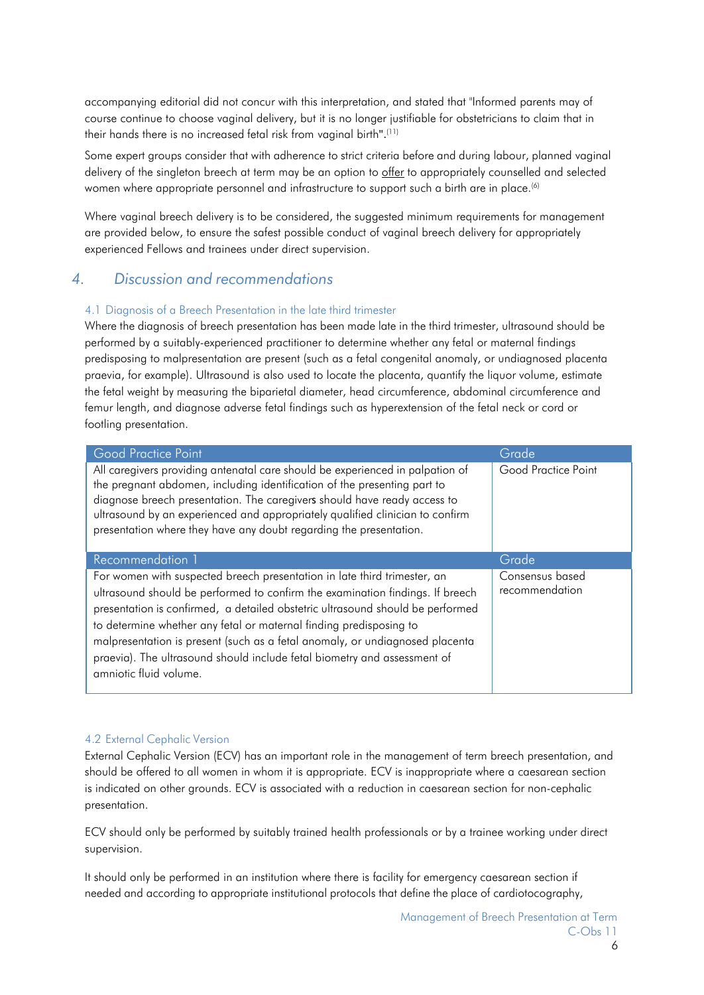accompanying editorial did not concur with this interpretation, and stated that "Informed parents may of course continue to choose vaginal delivery, but it is no longer justifiable for obstetricians to claim that in their hands there is no increased fetal risk from vaginal birth". [\(11\)](#page-13-9)

Some expert groups consider that with adherence to strict criteria before and during labour, planned vaginal delivery of the singleton breech at term may be an option to offer to appropriately counselled and selected women where appropriate personnel and infrastructure to support such a birth are in place.<sup>[\(6\)](#page-13-7)</sup>

Where vaginal breech delivery is to be considered, the suggested minimum requirements for management are provided below, to ensure the safest possible conduct of vaginal breech delivery for appropriately experienced Fellows and trainees under direct supervision.

## <span id="page-5-0"></span>*4. Discussion and recommendations*

#### 4.1 Diagnosis of a Breech Presentation in the late third trimester

Where the diagnosis of breech presentation has been made late in the third trimester, ultrasound should be performed by a suitably-experienced practitioner to determine whether any fetal or maternal findings predisposing to malpresentation are present (such as a fetal congenital anomaly, or undiagnosed placenta praevia, for example). Ultrasound is also used to locate the placenta, quantify the liquor volume, estimate the fetal weight by measuring the biparietal diameter, head circumference, abdominal circumference and femur length, and diagnose adverse fetal findings such as hyperextension of the fetal neck or cord or footling presentation.

| Good Practice Point                                                                                                                                                                                                                                                                                                                                                                                                                                                                                     | Grade                             |
|---------------------------------------------------------------------------------------------------------------------------------------------------------------------------------------------------------------------------------------------------------------------------------------------------------------------------------------------------------------------------------------------------------------------------------------------------------------------------------------------------------|-----------------------------------|
| All caregivers providing antenatal care should be experienced in palpation of<br>the pregnant abdomen, including identification of the presenting part to<br>diagnose breech presentation. The caregivers should have ready access to<br>ultrasound by an experienced and appropriately qualified clinician to confirm<br>presentation where they have any doubt regarding the presentation.                                                                                                            | Good Practice Point               |
| Recommendation 1                                                                                                                                                                                                                                                                                                                                                                                                                                                                                        | Grade                             |
| For women with suspected breech presentation in late third trimester, an<br>ultrasound should be performed to confirm the examination findings. If breech<br>presentation is confirmed, a detailed obstetric ultrasound should be performed<br>to determine whether any fetal or maternal finding predisposing to<br>malpresentation is present (such as a fetal anomaly, or undiagnosed placenta<br>praevia). The ultrasound should include fetal biometry and assessment of<br>amniotic fluid volume. | Consensus based<br>recommendation |

#### <span id="page-5-1"></span>4.2 External Cephalic Version

External Cephalic Version (ECV) has an important role in the management of term breech presentation, and should be offered to all women in whom it is appropriate. ECV is inappropriate where a caesarean section is indicated on other grounds. ECV is associated with a reduction in caesarean section for non-cephalic presentation.

ECV should only be performed by suitably trained health professionals or by a trainee working under direct supervision.

It should only be performed in an institution where there is facility for emergency caesarean section if needed and according to appropriate institutional protocols that define the place of cardiotocography,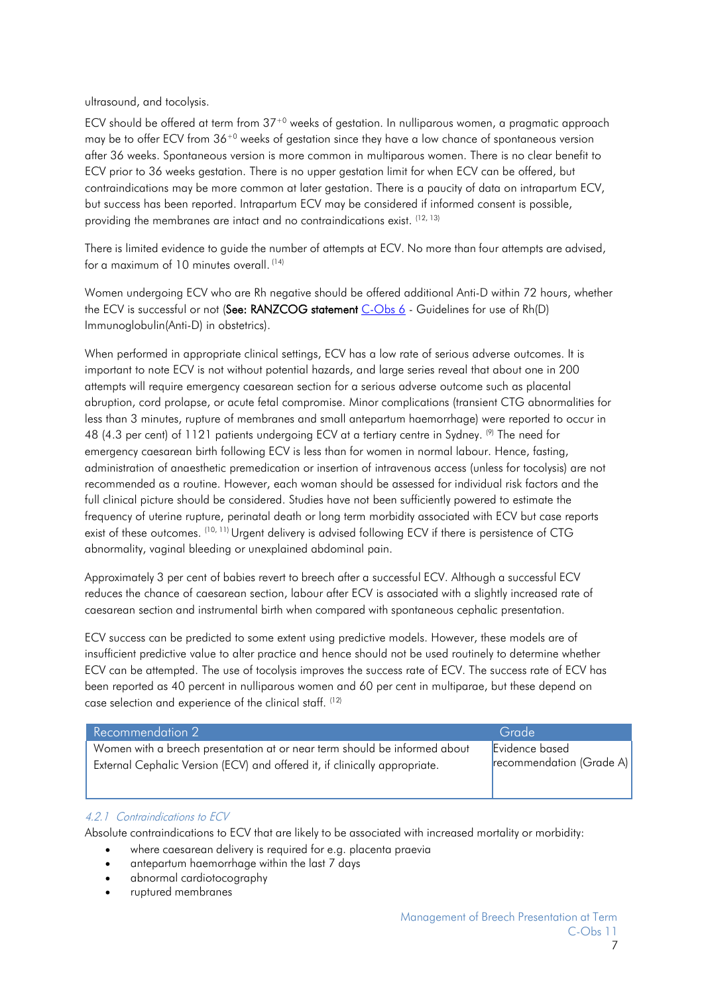ultrasound, and tocolysis.

ECV should be offered at term from 37+0 weeks of gestation. In nulliparous women, a pragmatic approach may be to offer ECV from  $36^{+0}$  weeks of aestation since they have a low chance of spontaneous version after 36 weeks. Spontaneous version is more common in multiparous women. There is no clear benefit to ECV prior to 36 weeks gestation. There is no upper gestation limit for when ECV can be offered, but contraindications may be more common at later gestation. There is a paucity of data on intrapartum ECV, but success has been reported. Intrapartum ECV may be considered if informed consent is possible, providing the membranes are intact and no contraindications exist. [\(12,](#page-13-10) [13\)](#page-13-11)

There is limited evidence to guide the number of attempts at ECV. No more than four attempts are advised, for a maximum of 10 minutes overall. [\(14\)](#page-13-12)

Women undergoing ECV who are Rh negative should be offered additional Anti-D within 72 hours, whether the ECV is successful or not (See: RANZCOG statement [C-Obs 6](#page-14-3) - Guidelines for use of Rh(D) [Immunoglobulin\(Anti-D\)](https://ranzcog.edu.au/RANZCOG_SITE/media/RANZCOG-MEDIA/Women%27s%20Health/Statement%20and%20guidelines/Clinical-Obstetrics/Use-of-Rh(D)-Isoimmunisation-(C-Obs-6).pdf?ext=.pdf) in obstetric[s\).](https://ranzcog.edu.au/RANZCOG_SITE/media/RANZCOG-MEDIA/Women%27s%20Health/Statement%20and%20guidelines/Clinical-Obstetrics/Use-of-Rh(D)-Isoimmunisation-(C-Obs-6).pdf?ext=.pdf)

When performed in appropriate clinical settings, ECV has a low rate of serious adverse outcomes. It is important to note ECV is not without potential hazards, and large series reveal that about one in 200 attempts will require emergency caesarean section for a serious adverse outcome such as placental abruption, cord prolapse, or acute fetal compromise. Minor complications (transient CTG abnormalities for less than 3 minutes, rupture of membranes and small antepartum haemorrhage) were reported to occur in 48 (4.3 per cent) of 1121 patients undergoing ECV at a tertiary centre in Sydney. <sup>(9)</sup> The need for emergency caesarean birth following ECV is less than for women in normal labour. Hence, fasting, administration of anaesthetic premedication or insertion of intravenous access (unless for tocolysis) are not recommended as a routine. However, each woman should be assessed for individual risk factors and the full clinical picture should be considered. Studies have not been sufficiently powered to estimate the frequency of uterine rupture, perinatal death or long term morbidity associated with ECV but case reports exist of these outcomes. <sup>(10, [11\)](#page-13-9)</sup> Urgent delivery is advised following ECV if there is persistence of CTG abnormality, vaginal bleeding or unexplained abdominal pain.

Approximately 3 per cent of babies revert to breech after a successful ECV. Although a successful ECV reduces the chance of caesarean section, labour after ECV is associated with a slightly increased rate of caesarean section and instrumental birth when compared with spontaneous cephalic presentation.

ECV success can be predicted to some extent using predictive models. However, these models are of insufficient predictive value to alter practice and hence should not be used routinely to determine whether ECV can be attempted. The use of tocolysis improves the success rate of ECV. The success rate of ECV has been reported as 40 percent in nulliparous women and 60 per cent in multiparae, but these depend on case selection and experience of the clinical staff. [\(12\)](#page-13-10)

| Recommendation 2                                                           | Grade                    |
|----------------------------------------------------------------------------|--------------------------|
| Women with a breech presentation at or near term should be informed about  | Evidence based           |
| External Cephalic Version (ECV) and offered it, if clinically appropriate. | recommendation (Grade A) |

#### <span id="page-6-0"></span>4.2.1 Contraindications to ECV

Absolute contraindications to ECV that are likely to be associated with increased mortality or morbidity:

- where caesarean delivery is required for e.g. placenta praevia
- antepartum haemorrhage within the last 7 days
- abnormal cardiotocography
- ruptured membranes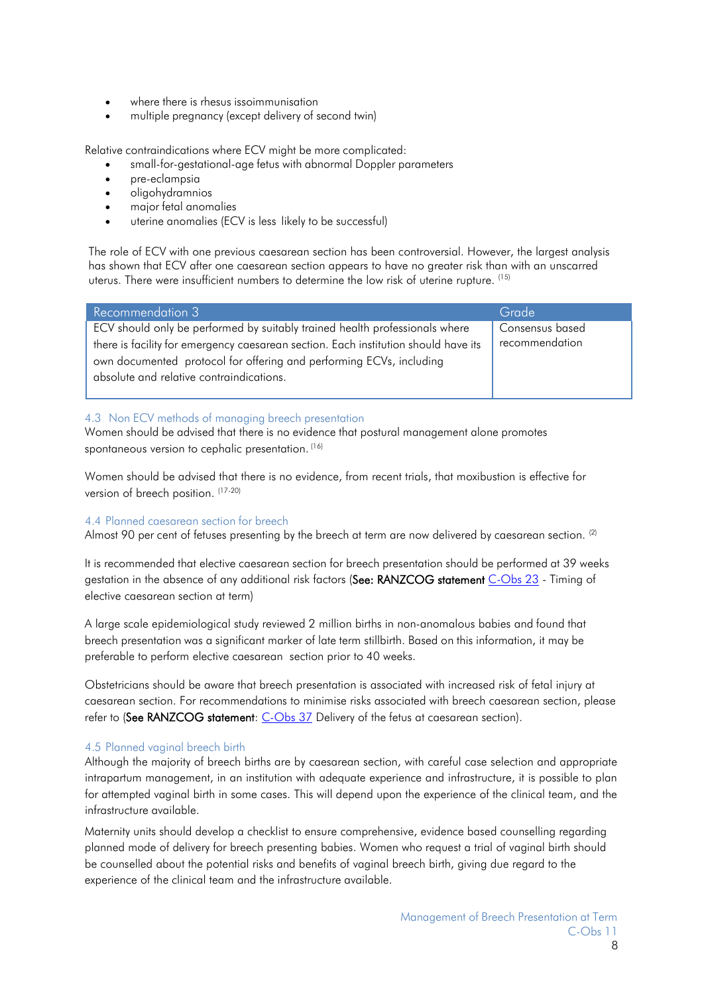- where there is rhesus issoimmunisation
- multiple pregnancy (except delivery of second twin)

Relative contraindications where ECV might be more complicated:

- small-for-gestational-age fetus with abnormal Doppler parameters
- pre-eclampsia
- oligohydramnios
- major fetal anomalies
- uterine anomalies (ECV is less likely to be successful)

The role of ECV with one previous caesarean section has been controversial. However, the largest analysis has shown that ECV after one caesarean section appears to have no greater risk than with an unscarred uterus. There were insufficient numbers to determine the low risk of uterine rupture. [\(15\)](#page-13-14)

| <b>Recommendation 3</b>                                                             | Grade           |
|-------------------------------------------------------------------------------------|-----------------|
| ECV should only be performed by suitably trained health professionals where         | Consensus based |
| there is facility for emergency caesarean section. Each institution should have its | recommendation  |
| own documented protocol for offering and performing ECVs, including                 |                 |
| absolute and relative contraindications.                                            |                 |
|                                                                                     |                 |

#### <span id="page-7-0"></span>4.3 Non ECV methods of managing breech presentation

Women should be advised that there is no evidence that postural management alone promotes spontaneous version to cephalic presentation. [\(16\)](#page-13-15)

Women should be advised that there is no evidence, from recent trials, that moxibustion is effective for version of breech position. [\(17-20\)](#page-13-16)

#### <span id="page-7-1"></span>4.4 Planned caesarean section for breech

Almost 90 per cent of fetuses presenting by the breech at term are now delivered by caesarean section. <sup>(2)</sup>

It is recommended that elective caesarean section for breech presentation should be performed at 39 weeks gestation in the absence of any additional risk factors (See: RANZCOG statement [C-Obs 23](#page-14-4) - Timing of [elective](https://ranzcog.edu.au/RANZCOG_SITE/media/RANZCOG-MEDIA/Women%27s%20Health/Statement%20and%20guidelines/Clinical-Obstetrics/Timing-of-elective-caesarean-section-(C-Obs-23)-March18.pdf?ext=.pdf) [caesarean](https://ranzcog.edu.au/RANZCOG_SITE/media/RANZCOG-MEDIA/Women%27s%20Health/Statement%20and%20guidelines/Clinical-Obstetrics/Timing-of-elective-caesarean-section-(C-Obs-23)-March18.pdf?ext=.pdf) section at term)

A large scale epidemiological study reviewed 2 million births in non-anomalous babies and found that breech presentation was a significant marker of late term stillbirth. Based on this information, it may be preferable to perform elective caesarean section prior to 40 weeks.

Obstetricians should be aware that breech presentation is associated with increased risk of fetal injury at caesarean section. For recommendations to minimise risks associated with breech caesarean section, please refer to (See RANZCOG statement: [C-Obs 37](#page-14-4) Delivery of the fetus at [caesarean section\).](https://ranzcog.edu.au/RANZCOG_SITE/media/RANZCOG-MEDIA/Women%27s%20Health/Statement%20and%20guidelines/Workforce%20and%20Practice%20Issues/Delivery-of-fetus-at-caesarean-section-(C-Obs-37).pdf?ext=.pdf)

#### <span id="page-7-2"></span>4.5 Planned vaginal breech birth

Although the majority of breech births are by caesarean section, with careful case selection and appropriate intrapartum management, in an institution with adequate experience and infrastructure, it is possible to plan for attempted vaginal birth in some cases. This will depend upon the experience of the clinical team, and the infrastructure available.

Maternity units should develop a checklist to ensure comprehensive, evidence based counselling regarding planned mode of delivery for breech presenting babies. Women who request a trial of vaginal birth should be counselled about the potential risks and benefits of vaginal breech birth, giving due regard to the experience of the clinical team and the infrastructure available.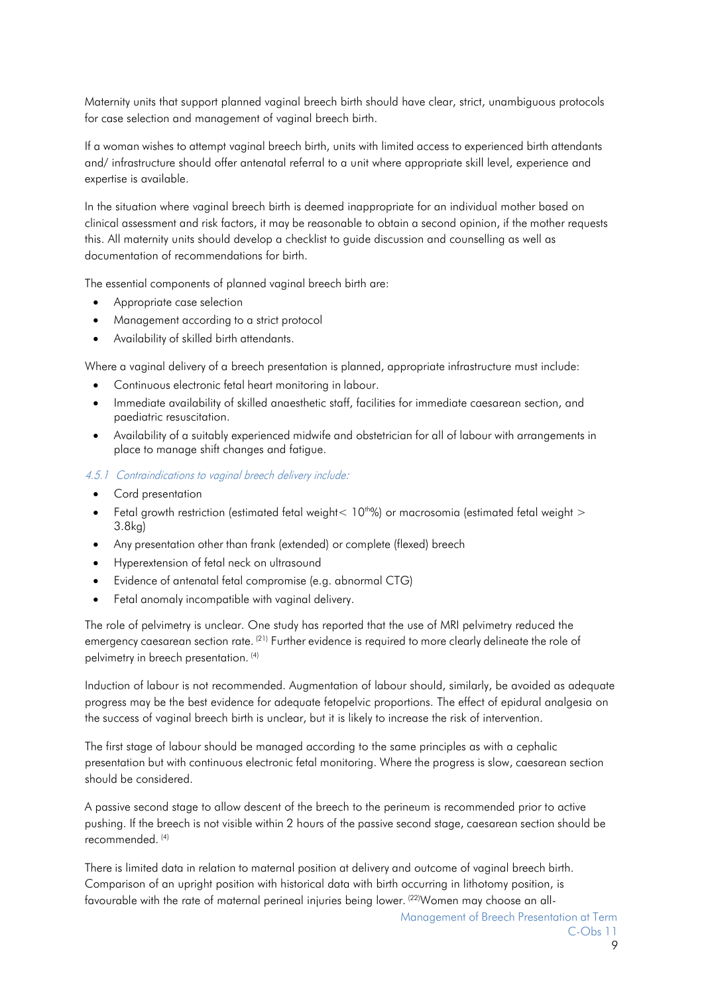Maternity units that support planned vaginal breech birth should have clear, strict, unambiguous protocols for case selection and management of vaginal breech birth.

If a woman wishes to attempt vaginal breech birth, units with limited access to experienced birth attendants and/ infrastructure should offer antenatal referral to a unit where appropriate skill level, experience and expertise is available.

In the situation where vaginal breech birth is deemed inappropriate for an individual mother based on clinical assessment and risk factors, it may be reasonable to obtain a second opinion, if the mother requests this. All maternity units should develop a checklist to guide discussion and counselling as well as documentation of recommendations for birth.

The essential components of planned vaginal breech birth are:

- Appropriate case selection
- Management according to a strict protocol
- Availability of skilled birth attendants.

Where a vaginal delivery of a breech presentation is planned, appropriate infrastructure must include:

- Continuous electronic fetal heart monitoring in labour.
- Immediate availability of skilled anaesthetic staff, facilities for immediate caesarean section, and paediatric resuscitation.
- Availability of a suitably experienced midwife and obstetrician for all of labour with arrangements in place to manage shift changes and fatigue.

#### <span id="page-8-0"></span>4.5.1 Contraindications to vaginal breech delivery include:

- Cord presentation
- Fetal growth restriction (estimated fetal weight <  $10^{th}$ %) or macrosomia (estimated fetal weight > 3.8kg)
- Any presentation other than frank (extended) or complete (flexed) breech
- Hyperextension of fetal neck on ultrasound
- Evidence of antenatal fetal compromise (e.g. abnormal CTG)
- Fetal anomaly incompatible with vaginal delivery.

The role of pelvimetry is unclear. One study has reported that the use of MRI pelvimetry reduced the emergency caesarean section rate. <sup>[\(21\)](#page-13-17)</sup> Further evidence is required to more clearly delineate the role of pelvimetry in breech presentation. [\(4\)](#page-13-5)

Induction of labour is not recommended. Augmentation of labour should, similarly, be avoided as adequate progress may be the best evidence for adequate fetopelvic proportions. The effect of epidural analgesia on the success of vaginal breech birth is unclear, but it is likely to increase the risk of intervention.

The first stage of labour should be managed according to the same principles as with a cephalic presentation but with continuous electronic fetal monitoring. Where the progress is slow, caesarean section should be considered.

A passive second stage to allow descent of the breech to the perineum is recommended prior to active pushing. If the breech is not visible within 2 hours of the passive second stage, caesarean section should be recommended. [\(4\)](#page-13-5)

There is limited data in relation to maternal position at delivery and outcome of vaginal breech birth. Comparison of an upright position with historical data with birth occurring in lithotomy position, is favourable with the rate of maternal perineal injuries being lower. <sup>[\(22\)](#page-13-18)</sup>Women may choose an all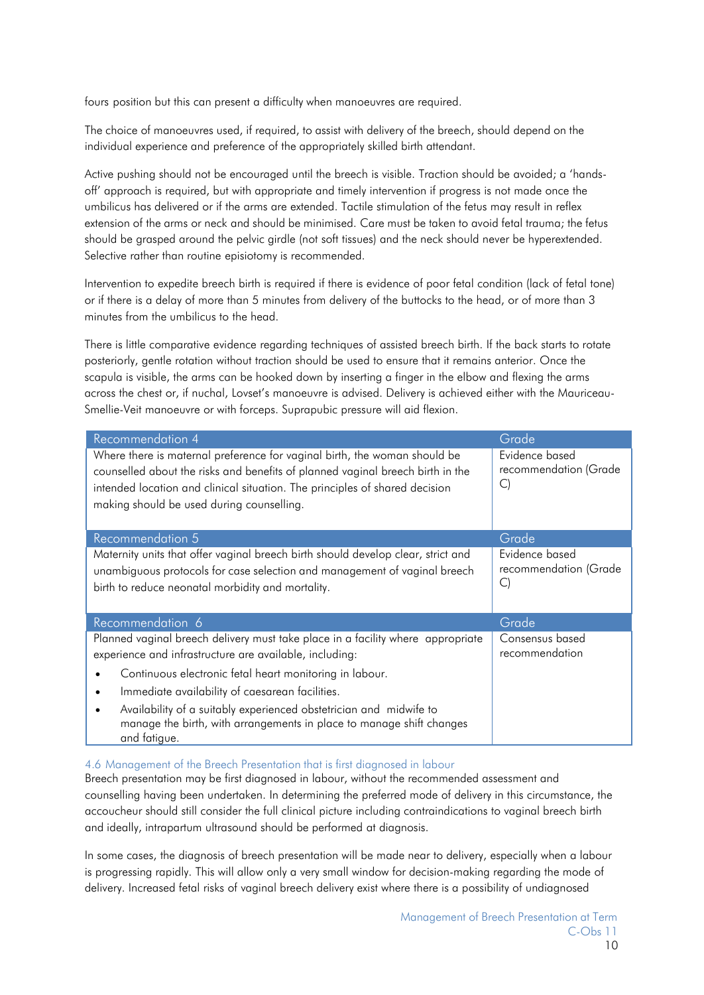fours position but this can present a difficulty when manoeuvres are required.

The choice of manoeuvres used, if required, to assist with delivery of the breech, should depend on the individual experience and preference of the appropriately skilled birth attendant.

Active pushing should not be encouraged until the breech is visible. Traction should be avoided; a 'handsoff' approach is required, but with appropriate and timely intervention if progress is not made once the umbilicus has delivered or if the arms are extended. Tactile stimulation of the fetus may result in reflex extension of the arms or neck and should be minimised. Care must be taken to avoid fetal trauma; the fetus should be grasped around the pelvic girdle (not soft tissues) and the neck should never be hyperextended. Selective rather than routine episiotomy is recommended.

Intervention to expedite breech birth is required if there is evidence of poor fetal condition (lack of fetal tone) or if there is a delay of more than 5 minutes from delivery of the buttocks to the head, or of more than 3 minutes from the umbilicus to the head.

There is little comparative evidence regarding techniques of assisted breech birth. If the back starts to rotate posteriorly, gentle rotation without traction should be used to ensure that it remains anterior. Once the scapula is visible, the arms can be hooked down by inserting a finger in the elbow and flexing the arms across the chest or, if nuchal, Lovset's manoeuvre is advised. Delivery is achieved either with the Mauriceau-Smellie-Veit manoeuvre or with forceps. Suprapubic pressure will aid flexion.

| <b>Recommendation 4</b>                                                                                                                                                                                                                                                                 | Grade                                         |
|-----------------------------------------------------------------------------------------------------------------------------------------------------------------------------------------------------------------------------------------------------------------------------------------|-----------------------------------------------|
| Where there is maternal preference for vaginal birth, the woman should be<br>counselled about the risks and benefits of planned vaginal breech birth in the<br>intended location and clinical situation. The principles of shared decision<br>making should be used during counselling. | Evidence based<br>recommendation (Grade<br>C) |
| <b>Recommendation 5</b>                                                                                                                                                                                                                                                                 | Grade                                         |
| Maternity units that offer vaginal breech birth should develop clear, strict and<br>unambiguous protocols for case selection and management of vaginal breech<br>birth to reduce neonatal morbidity and mortality.                                                                      | Evidence based<br>recommendation (Grade<br>C) |
| Recommendation 6                                                                                                                                                                                                                                                                        | Grade                                         |
| Planned vaginal breech delivery must take place in a facility where appropriate<br>experience and infrastructure are available, including:                                                                                                                                              | Consensus based<br>recommendation             |
| Continuous electronic fetal heart monitoring in labour.                                                                                                                                                                                                                                 |                                               |
| Immediate availability of caesarean facilities.                                                                                                                                                                                                                                         |                                               |
| Availability of a suitably experienced obstetrician and midwife to<br>manage the birth, with arrangements in place to manage shift changes<br>and fatigue.                                                                                                                              |                                               |

#### <span id="page-9-0"></span>4.6 Management of the Breech Presentation that is first diagnosed in labour

Breech presentation may be first diagnosed in labour, without the recommended assessment and counselling having been undertaken. In determining the preferred mode of delivery in this circumstance, the accoucheur should still consider the full clinical picture including contraindications to vaginal breech birth and ideally, intrapartum ultrasound should be performed at diagnosis.

In some cases, the diagnosis of breech presentation will be made near to delivery, especially when a labour is progressing rapidly. This will allow only a very small window for decision-making regarding the mode of delivery. Increased fetal risks of vaginal breech delivery exist where there is a possibility of undiagnosed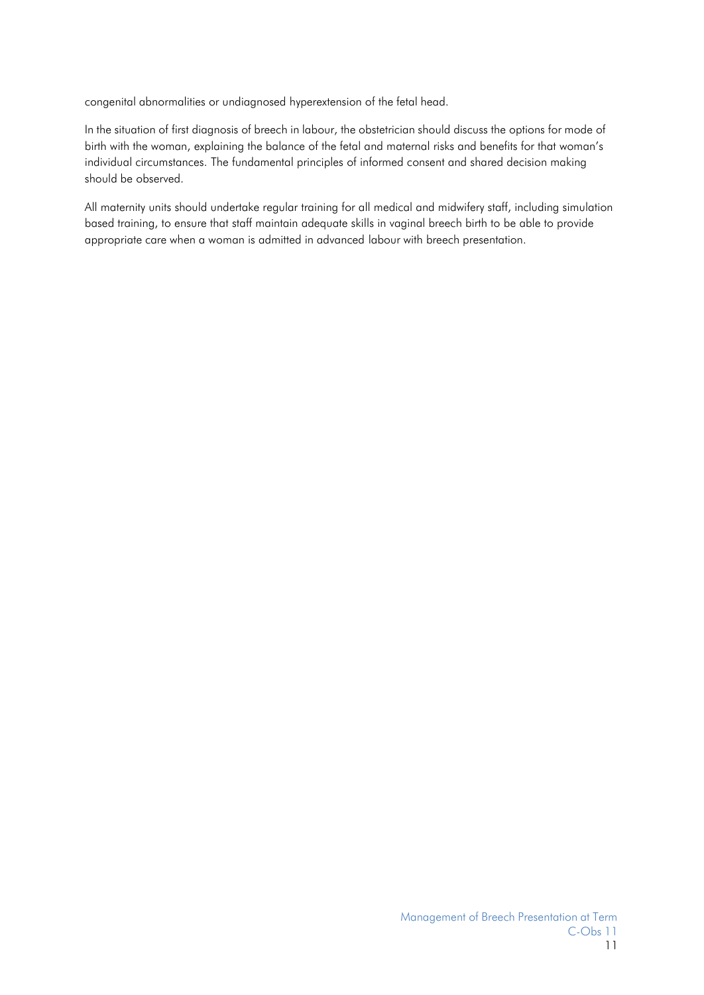congenital abnormalities or undiagnosed hyperextension of the fetal head.

In the situation of first diagnosis of breech in labour, the obstetrician should discuss the options for mode of birth with the woman, explaining the balance of the fetal and maternal risks and benefits for that woman's individual circumstances. The fundamental principles of informed consent and shared decision making should be observed.

All maternity units should undertake regular training for all medical and midwifery staff, including simulation based training, to ensure that staff maintain adequate skills in vaginal breech birth to be able to provide appropriate care when a woman is admitted in advanced labour with breech presentation.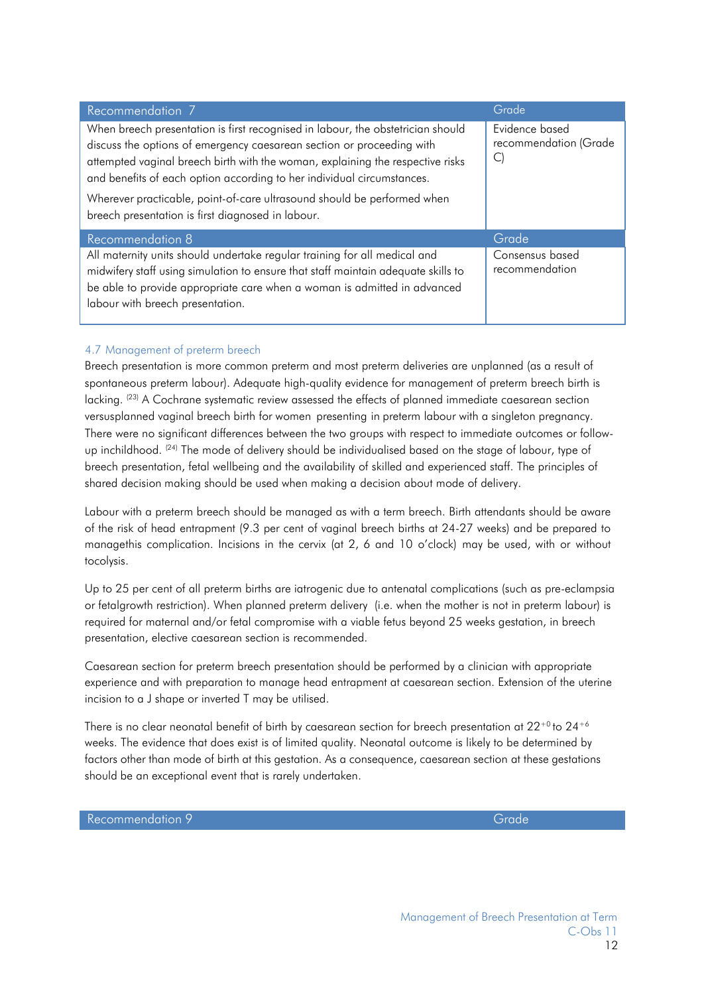| Recommendation 7                                                                                                                                                                                                                                                                                                                                                                                                                                     | Grade                                   |
|------------------------------------------------------------------------------------------------------------------------------------------------------------------------------------------------------------------------------------------------------------------------------------------------------------------------------------------------------------------------------------------------------------------------------------------------------|-----------------------------------------|
| When breech presentation is first recognised in labour, the obstetrician should<br>discuss the options of emergency caesarean section or proceeding with<br>attempted vaginal breech birth with the woman, explaining the respective risks<br>and benefits of each option according to her individual circumstances.<br>Wherever practicable, point-of-care ultrasound should be performed when<br>breech presentation is first diagnosed in labour. | Evidence based<br>recommendation (Grade |
| <b>Recommendation 8</b>                                                                                                                                                                                                                                                                                                                                                                                                                              | Grade                                   |
| All maternity units should undertake regular training for all medical and<br>midwifery staff using simulation to ensure that staff maintain adequate skills to<br>be able to provide appropriate care when a woman is admitted in advanced<br>labour with breech presentation.                                                                                                                                                                       | Consensus based<br>recommendation       |

#### <span id="page-11-0"></span>4.7 Management of preterm breech

Breech presentation is more common preterm and most preterm deliveries are unplanned (as a result of spontaneous preterm labour). Adequate high-quality evidence for management of preterm breech birth is lacking. <sup>(23)</sup> A Cochrane systematic review assessed the effects of planned immediate caesarean section versusplanned vaginal breech birth for women presenting in preterm labour with a singleton pregnancy. There were no significant differences between the two groups with respect to immediate outcomes or follow-up inchildhood. <sup>[\(24\)](#page-14-5)</sup> The mode of delivery should be individualised based on the stage of labour, type of breech presentation, fetal wellbeing and the availability of skilled and experienced staff. The principles of shared decision making should be used when making a decision about mode of delivery.

Labour with a preterm breech should be managed as with a term breech. Birth attendants should be aware of the risk of head entrapment (9.3 per cent of vaginal breech births at 24-27 weeks) and be prepared to managethis complication. Incisions in the cervix (at 2, 6 and 10 o'clock) may be used, with or without tocolysis.

Up to 25 per cent of all preterm births are iatrogenic due to antenatal complications (such as pre-eclampsia or fetalgrowth restriction). When planned preterm delivery (i.e. when the mother is not in preterm labour) is required for maternal and/or fetal compromise with a viable fetus beyond 25 weeks gestation, in breech presentation, elective caesarean section is recommended.

Caesarean section for preterm breech presentation should be performed by a clinician with appropriate experience and with preparation to manage head entrapment at caesarean section. Extension of the uterine incision to a J shape or inverted T may be utilised.

There is no clear neonatal benefit of birth by caesarean section for breech presentation at 22+0 to 24+6 weeks. The evidence that does exist is of limited quality. Neonatal outcome is likely to be determined by factors other than mode of birth at this gestation. As a consequence, caesarean section at these gestations should be an exceptional event that is rarely undertaken.

Recommendation 9 Grade Control of the Control of the Control of Grade Control of the Grade Control of the Grade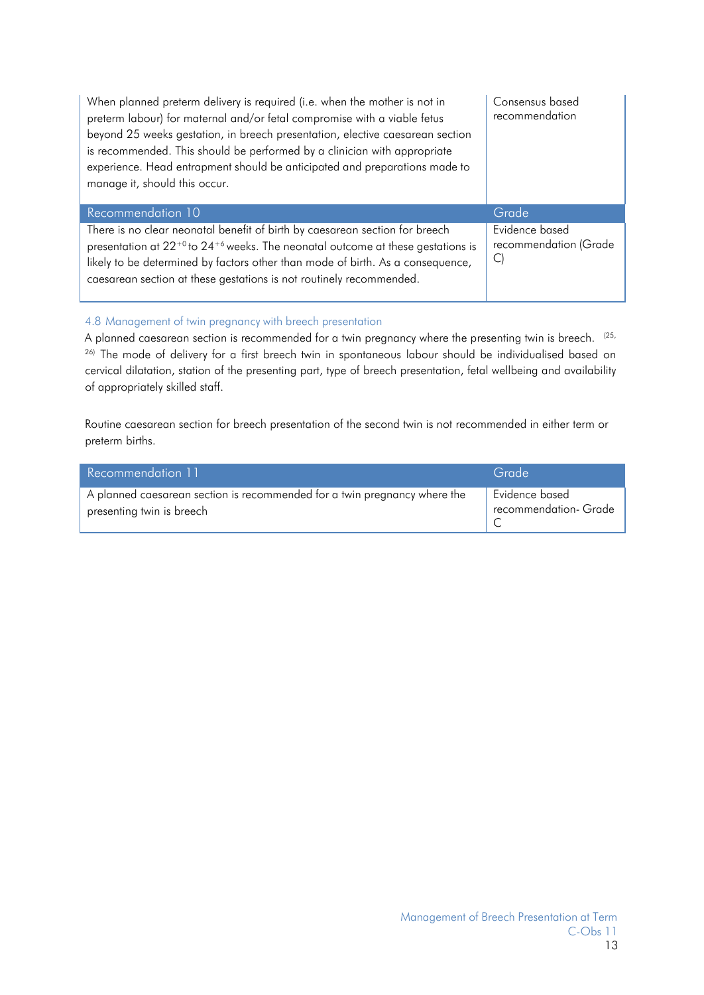| When planned preterm delivery is required (i.e. when the mother is not in<br>preterm labour) for maternal and/or fetal compromise with a viable fetus<br>beyond 25 weeks gestation, in breech presentation, elective caesarean section<br>is recommended. This should be performed by a clinician with appropriate<br>experience. Head entrapment should be anticipated and preparations made to<br>manage it, should this occur. | Consensus based<br>recommendation                 |
|-----------------------------------------------------------------------------------------------------------------------------------------------------------------------------------------------------------------------------------------------------------------------------------------------------------------------------------------------------------------------------------------------------------------------------------|---------------------------------------------------|
| Recommendation 10                                                                                                                                                                                                                                                                                                                                                                                                                 | Grade                                             |
| There is no clear neonatal benefit of birth by caesarean section for breech<br>presentation at $22^{+0}$ to $24^{+6}$ weeks. The neonatal outcome at these gestations is<br>likely to be determined by factors other than mode of birth. As a consequence,<br>caesarean section at these gestations is not routinely recommended.                                                                                                 | Evidence based<br>recommendation (Grade<br>$\cup$ |

## <span id="page-12-0"></span>4.8 Management of twin pregnancy with breech presentation

A planned caesarean section is recommended for a twin pregnancy where the presenting twin is breech.  $(25, 25)$  $(25, 25)$ [26\)](#page-14-7) The mode of delivery for a first breech twin in spontaneous labour should be individualised based on cervical dilatation, station of the presenting part, type of breech presentation, fetal wellbeing and availability of appropriately skilled staff.

Routine caesarean section for breech presentation of the second twin is not recommended in either term or preterm births.

| Recommendation 11                                                         | Grade                              |
|---------------------------------------------------------------------------|------------------------------------|
| A planned caesarean section is recommended for a twin pregnancy where the | Evidence based                     |
| presenting twin is breech                                                 | <sup>1</sup> recommendation- Grade |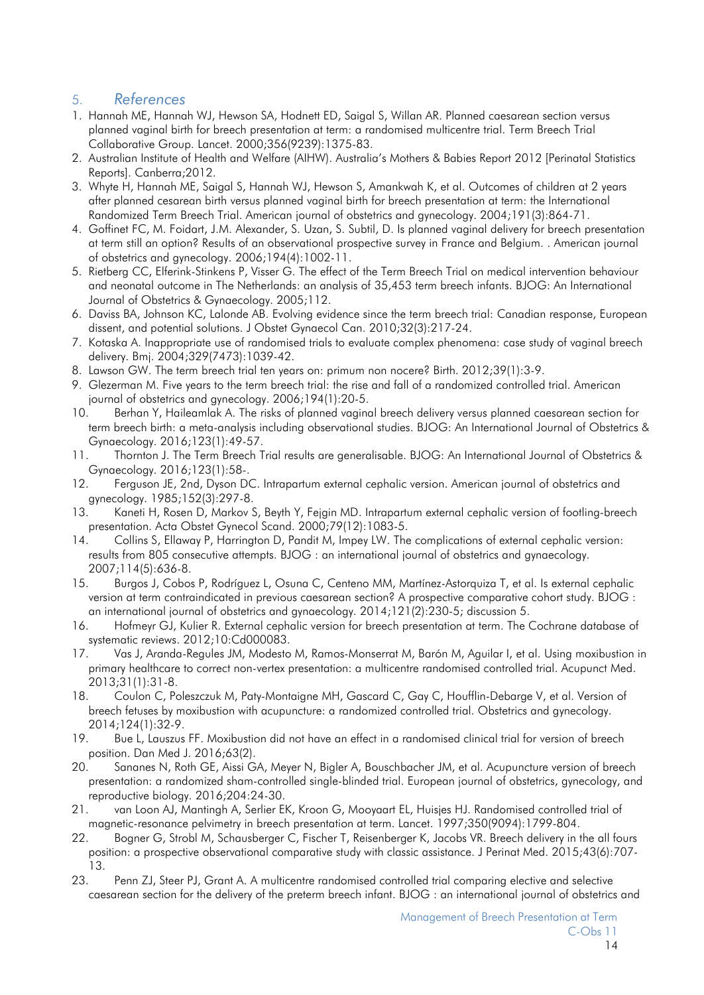## <span id="page-13-2"></span><span id="page-13-0"></span>5. *References*

- <span id="page-13-1"></span>1. Hannah ME, Hannah WJ, Hewson SA, Hodnett ED, Saigal S, Willan AR. Planned caesarean section versus planned vaginal birth for breech presentation at term: a randomised multicentre trial. Term Breech Trial Collaborative Group. Lancet. 2000;356(9239):1375-83.
- <span id="page-13-3"></span>2. Australian Institute of Health and Welfare (AIHW). Australia's Mothers & Babies Report 2012 [Perinatal Statistics Reports]. Canberra;2012.
- <span id="page-13-4"></span>3. Whyte H, Hannah ME, Saigal S, Hannah WJ, Hewson S, Amankwah K, et al. Outcomes of children at 2 years after planned cesarean birth versus planned vaginal birth for breech presentation at term: the International Randomized Term Breech Trial. American journal of obstetrics and gynecology. 2004;191(3):864-71.
- <span id="page-13-5"></span>4. Goffinet FC, M. Foidart, J.M. Alexander, S. Uzan, S. Subtil, D. Is planned vaginal delivery for breech presentation at term still an option? Results of an observational prospective survey in France and Belgium. . American journal of obstetrics and gynecology. 2006;194(4):1002-11.
- <span id="page-13-6"></span>5. Rietberg CC, Elferink-Stinkens P, Visser G. The effect of the Term Breech Trial on medical intervention behaviour and neonatal outcome in The Netherlands: an analysis of 35,453 term breech infants. BJOG: An International Journal of Obstetrics & Gynaecology. 2005;112.
- <span id="page-13-7"></span>6. Daviss BA, Johnson KC, Lalonde AB. Evolving evidence since the term breech trial: Canadian response, European dissent, and potential solutions. J Obstet Gynaecol Can. 2010;32(3):217-24.
- 7. Kotaska A. Inappropriate use of randomised trials to evaluate complex phenomena: case study of vaginal breech delivery. Bmj. 2004;329(7473):1039-42.
- 8. Lawson GW. The term breech trial ten years on: primum non nocere? Birth. 2012;39(1):3-9.
- <span id="page-13-13"></span>9. Glezerman M. Five years to the term breech trial: the rise and fall of a randomized controlled trial. American journal of obstetrics and gynecology. 2006;194(1):20-5.
- <span id="page-13-8"></span>10. Berhan Y, Haileamlak A. The risks of planned vaginal breech delivery versus planned caesarean section for term breech birth: a meta-analysis including observational studies. BJOG: An International Journal of Obstetrics & Gynaecology. 2016;123(1):49-57.
- <span id="page-13-9"></span>11. Thornton J. The Term Breech Trial results are generalisable. BJOG: An International Journal of Obstetrics & Gynaecology. 2016;123(1):58-.
- <span id="page-13-10"></span>12. Ferguson JE, 2nd, Dyson DC. Intrapartum external cephalic version. American journal of obstetrics and gynecology. 1985;152(3):297-8.
- <span id="page-13-11"></span>13. Kaneti H, Rosen D, Markov S, Beyth Y, Fejgin MD. Intrapartum external cephalic version of footling-breech presentation. Acta Obstet Gynecol Scand. 2000;79(12):1083-5.
- <span id="page-13-12"></span>14. Collins S, Ellaway P, Harrington D, Pandit M, Impey LW. The complications of external cephalic version: results from 805 consecutive attempts. BJOG : an international journal of obstetrics and gynaecology. 2007;114(5):636-8.
- <span id="page-13-14"></span>15. Burgos J, Cobos P, Rodríguez L, Osuna C, Centeno MM, Martínez-Astorquiza T, et al. Is external cephalic version at term contraindicated in previous caesarean section? A prospective comparative cohort study. BJOG : an international journal of obstetrics and gynaecology. 2014;121(2):230-5; discussion 5.
- <span id="page-13-15"></span>16. Hofmeyr GJ, Kulier R. External cephalic version for breech presentation at term. The Cochrane database of systematic reviews. 2012;10:Cd000083.
- <span id="page-13-16"></span>17. Vas J, Aranda-Regules JM, Modesto M, Ramos-Monserrat M, Barón M, Aguilar I, et al. Using moxibustion in primary healthcare to correct non-vertex presentation: a multicentre randomised controlled trial. Acupunct Med. 2013;31(1):31-8.
- 18. Coulon C, Poleszczuk M, Paty-Montaigne MH, Gascard C, Gay C, Houfflin-Debarge V, et al. Version of breech fetuses by moxibustion with acupuncture: a randomized controlled trial. Obstetrics and gynecology. 2014;124(1):32-9.
- 19. Bue L, Lauszus FF. Moxibustion did not have an effect in a randomised clinical trial for version of breech position. Dan Med J. 2016;63(2).
- 20. Sananes N, Roth GE, Aissi GA, Meyer N, Bigler A, Bouschbacher JM, et al. Acupuncture version of breech presentation: a randomized sham-controlled single-blinded trial. European journal of obstetrics, gynecology, and reproductive biology. 2016;204:24-30.
- <span id="page-13-17"></span>21. van Loon AJ, Mantingh A, Serlier EK, Kroon G, Mooyaart EL, Huisjes HJ. Randomised controlled trial of magnetic-resonance pelvimetry in breech presentation at term. Lancet. 1997;350(9094):1799-804.
- <span id="page-13-18"></span>22. Bogner G, Strobl M, Schausberger C, Fischer T, Reisenberger K, Jacobs VR. Breech delivery in the all fours position: a prospective observational comparative study with classic assistance. J Perinat Med. 2015;43(6):707- 13.
- <span id="page-13-19"></span>23. Penn ZJ, Steer PJ, Grant A. A multicentre randomised controlled trial comparing elective and selective caesarean section for the delivery of the preterm breech infant. BJOG : an international journal of obstetrics and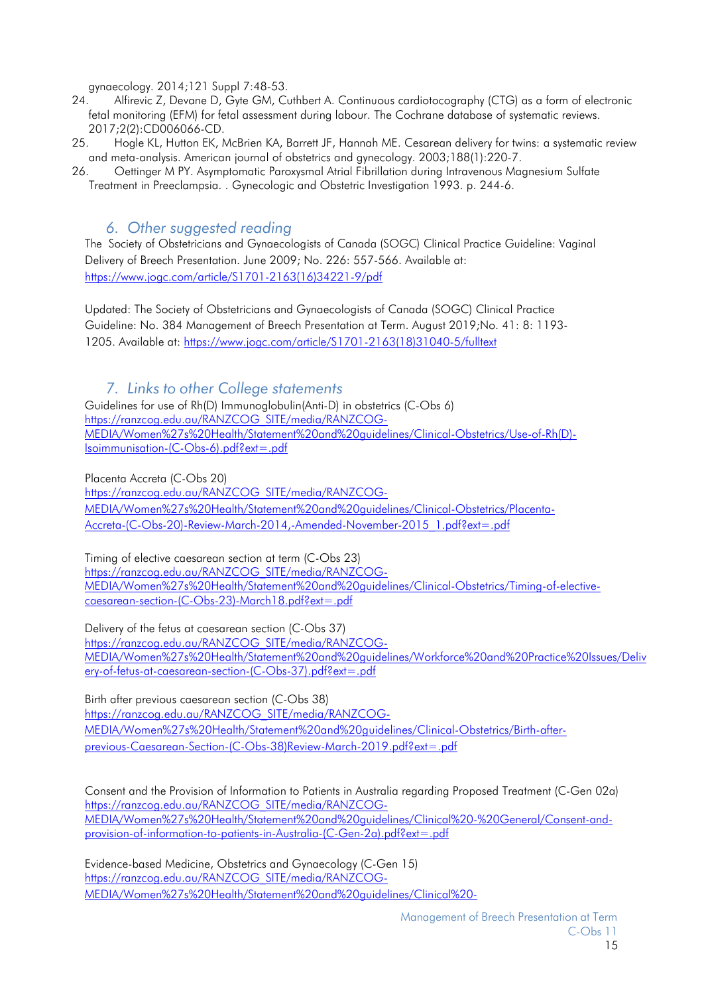gynaecology. 2014;121 Suppl 7:48-53.

- <span id="page-14-5"></span>24. Alfirevic Z, Devane D, Gyte GM, Cuthbert A. Continuous cardiotocography (CTG) as a form of electronic fetal monitoring (EFM) for fetal assessment during labour. The Cochrane database of systematic reviews. 2017;2(2):CD006066-CD.
- <span id="page-14-6"></span>25. Hogle KL, Hutton EK, McBrien KA, Barrett JF, Hannah ME. Cesarean delivery for twins: a systematic review and meta-analysis. American journal of obstetrics and gynecology. 2003;188(1):220-7.
- <span id="page-14-7"></span>26. Oettinger M PY. Asymptomatic Paroxysmal Atrial Fibrillation during Intravenous Magnesium Sulfate Treatment in Preeclampsia. . Gynecologic and Obstetric Investigation 1993. p. 244-6.

## *6. Other suggested reading*

<span id="page-14-0"></span>The Society of Obstetricians and Gynaecologists of Canada (SOGC) Clinical Practice Guideline: Vaginal Delivery of Breech Presentation. June 2009; No. 226: 557-566. Available at: [https://www.jogc.com/article/S1701-2163\(16\)34221-9/pdf](https://www.jogc.com/article/S1701-2163(16)34221-9/pdf)

Updated: The Society of Obstetricians and Gynaecologists of Canada (SOGC) Clinical Practice Guideline: No. 384 Management of Breech Presentation at Term. August 2019;No. 41: 8: 1193- 1205. Available at: [https://www.jogc.com/article/S1701-2163\(18\)31040-5/fulltext](https://www.jogc.com/article/S1701-2163(18)31040-5/fulltext)

## *7. Links to other College statements*

<span id="page-14-3"></span><span id="page-14-1"></span>[Guidelines for use of Rh\(D\) Immunoglobulin\(Anti-D\)](https://ranzcog.edu.au/RANZCOG_SITE/media/RANZCOG-MEDIA/Women%27s%20Health/Statement%20and%20guidelines/Clinical-Obstetrics/Use-of-Rh(D)-Isoimmunisation-(C-Obs-6).pdf?ext=.pdf) in obstetrics (C-Obs 6) [https://ranzcog.edu.au/RANZCOG\\_SITE/media/RANZCOG-](https://ranzcog.edu.au/RANZCOG_SITE/media/RANZCOG-MEDIA/Women%27s%20Health/Statement%20and%20guidelines/Clinical-Obstetrics/Use-of-Rh(D)-Isoimmunisation-(C-Obs-6).pdf?ext=.pdf)[MEDIA/Women%27s%20Health/Statement%20and%20guidelines/Clinical-Obstetrics/Use-of-Rh\(D\)-](https://ranzcog.edu.au/RANZCOG_SITE/media/RANZCOG-MEDIA/Women%27s%20Health/Statement%20and%20guidelines/Clinical-Obstetrics/Use-of-Rh(D)-Isoimmunisation-(C-Obs-6).pdf?ext=.pdf) [Isoimmunisation-\(C-Obs-6\).pdf?ext=.pdf](https://ranzcog.edu.au/RANZCOG_SITE/media/RANZCOG-MEDIA/Women%27s%20Health/Statement%20and%20guidelines/Clinical-Obstetrics/Use-of-Rh(D)-Isoimmunisation-(C-Obs-6).pdf?ext=.pdf)

<span id="page-14-2"></span>Placenta Accreta (C-Obs 20) [https://ranzcog.edu.au/RANZCOG\\_SITE/media/RANZCOG-](https://ranzcog.edu.au/RANZCOG_SITE/media/RANZCOG-MEDIA/Women%27s%20Health/Statement%20and%20guidelines/Clinical-Obstetrics/Placenta-Accreta-(C-Obs-20)-Review-March-2014,-Amended-November-2015_1.pdf?ext=.pdf)[MEDIA/Women%27s%20Health/Statement%20and%20guidelines/Clinical-Obstetrics/Placenta-](https://ranzcog.edu.au/RANZCOG_SITE/media/RANZCOG-MEDIA/Women%27s%20Health/Statement%20and%20guidelines/Clinical-Obstetrics/Placenta-Accreta-(C-Obs-20)-Review-March-2014,-Amended-November-2015_1.pdf?ext=.pdf)[Accreta-\(C-Obs-20\)-Review-March-2014,-Amended-November-2015\\_1.pdf?ext=.pdf](https://ranzcog.edu.au/RANZCOG_SITE/media/RANZCOG-MEDIA/Women%27s%20Health/Statement%20and%20guidelines/Clinical-Obstetrics/Placenta-Accreta-(C-Obs-20)-Review-March-2014,-Amended-November-2015_1.pdf?ext=.pdf)

<span id="page-14-4"></span>Timing of elective caesarean section at term (C-Obs 23) [https://ranzcog.edu.au/RANZCOG\\_SITE/media/RANZCOG-](https://ranzcog.edu.au/RANZCOG_SITE/media/RANZCOG-MEDIA/Women%27s%20Health/Statement%20and%20guidelines/Clinical-Obstetrics/Timing-of-elective-caesarean-section-(C-Obs-23)-March18.pdf?ext=.pdf)[MEDIA/Women%27s%20Health/Statement%20and%20guidelines/Clinical-Obstetrics/Timing-of-elective](https://ranzcog.edu.au/RANZCOG_SITE/media/RANZCOG-MEDIA/Women%27s%20Health/Statement%20and%20guidelines/Clinical-Obstetrics/Timing-of-elective-caesarean-section-(C-Obs-23)-March18.pdf?ext=.pdf)[caesarean-section-\(C-Obs-23\)-March18.pdf?ext=.pdf](https://ranzcog.edu.au/RANZCOG_SITE/media/RANZCOG-MEDIA/Women%27s%20Health/Statement%20and%20guidelines/Clinical-Obstetrics/Timing-of-elective-caesarean-section-(C-Obs-23)-March18.pdf?ext=.pdf)

Delivery of the fetus at caesarean section (C-Obs 37) [https://ranzcog.edu.au/RANZCOG\\_SITE/media/RANZCOG-](https://ranzcog.edu.au/RANZCOG_SITE/media/RANZCOG-MEDIA/Women%27s%20Health/Statement%20and%20guidelines/Workforce%20and%20Practice%20Issues/Delivery-of-fetus-at-caesarean-section-(C-Obs-37).pdf?ext=.pdf)[MEDIA/Women%27s%20Health/Statement%20and%20guidelines/Workforce%20and%20Practice%20Issues/Deliv](https://ranzcog.edu.au/RANZCOG_SITE/media/RANZCOG-MEDIA/Women%27s%20Health/Statement%20and%20guidelines/Workforce%20and%20Practice%20Issues/Delivery-of-fetus-at-caesarean-section-(C-Obs-37).pdf?ext=.pdf) [ery-of-fetus-at-caesarean-section-\(C-Obs-37\).pdf?ext=.pdf](https://ranzcog.edu.au/RANZCOG_SITE/media/RANZCOG-MEDIA/Women%27s%20Health/Statement%20and%20guidelines/Workforce%20and%20Practice%20Issues/Delivery-of-fetus-at-caesarean-section-(C-Obs-37).pdf?ext=.pdf)

Birth after previous caesarean section (C-Obs 38) [https://ranzcog.edu.au/RANZCOG\\_SITE/media/RANZCOG-](https://ranzcog.edu.au/RANZCOG_SITE/media/RANZCOG-MEDIA/Women%27s%20Health/Statement%20and%20guidelines/Clinical-Obstetrics/Birth-after-previous-Caesarean-Section-(C-Obs-38)Review-March-2019.pdf?ext=.pdf)[MEDIA/Women%27s%20Health/Statement%20and%20guidelines/Clinical-Obstetrics/Birth-after](https://ranzcog.edu.au/RANZCOG_SITE/media/RANZCOG-MEDIA/Women%27s%20Health/Statement%20and%20guidelines/Clinical-Obstetrics/Birth-after-previous-Caesarean-Section-(C-Obs-38)Review-March-2019.pdf?ext=.pdf)[previous-Caesarean-Section-\(C-Obs-38\)Review-March-2019.pdf?ext=.pdf](https://ranzcog.edu.au/RANZCOG_SITE/media/RANZCOG-MEDIA/Women%27s%20Health/Statement%20and%20guidelines/Clinical-Obstetrics/Birth-after-previous-Caesarean-Section-(C-Obs-38)Review-March-2019.pdf?ext=.pdf)

Consent and the Provision of Information to Patients in Australia regarding Proposed Treatment (C-Gen 02a) [https://ranzcog.edu.au/RANZCOG\\_SITE/media/RANZCOG-](https://ranzcog.edu.au/RANZCOG_SITE/media/RANZCOG-MEDIA/Women%27s%20Health/Statement%20and%20guidelines/Clinical%20-%20General/Consent-and-provision-of-information-to-patients-in-Australia-(C-Gen-2a).pdf?ext=.pdf)[MEDIA/Women%27s%20Health/Statement%20and%20guidelines/Clinical%20-%20General/Consent-and](https://ranzcog.edu.au/RANZCOG_SITE/media/RANZCOG-MEDIA/Women%27s%20Health/Statement%20and%20guidelines/Clinical%20-%20General/Consent-and-provision-of-information-to-patients-in-Australia-(C-Gen-2a).pdf?ext=.pdf)[provision-of-information-to-patients-in-Australia-\(C-Gen-2a\).pdf?ext=.pdf](https://ranzcog.edu.au/RANZCOG_SITE/media/RANZCOG-MEDIA/Women%27s%20Health/Statement%20and%20guidelines/Clinical%20-%20General/Consent-and-provision-of-information-to-patients-in-Australia-(C-Gen-2a).pdf?ext=.pdf)

Evidence-based Medicine, Obstetrics and Gynaecology (C-Gen 15) [https://ranzcog.edu.au/RANZCOG\\_SITE/media/RANZCOG-](https://ranzcog.edu.au/RANZCOG_SITE/media/RANZCOG-MEDIA/Women%27s%20Health/Statement%20and%20guidelines/Clinical%20-%20General/Evidence-based_Medicine_Obstetrics_and_Gynaecology_(C-Gen-15)-March-2021.pdf?ext=.pdf)[MEDIA/Women%27s%20Health/Statement%20and%20guidelines/Clinical%20-](https://ranzcog.edu.au/RANZCOG_SITE/media/RANZCOG-MEDIA/Women%27s%20Health/Statement%20and%20guidelines/Clinical%20-%20General/Evidence-based_Medicine_Obstetrics_and_Gynaecology_(C-Gen-15)-March-2021.pdf?ext=.pdf)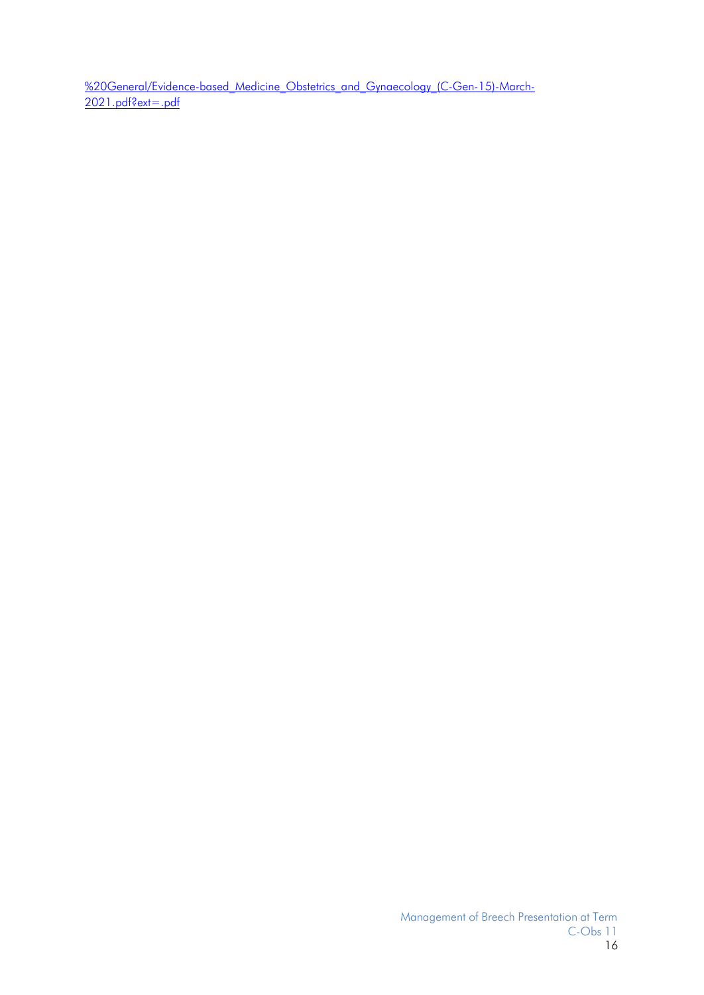%20General/Evidence-based Medicine Obstetrics and Gynaecology (C-Gen-15)-March-[2021.pdf?ext=.pdf](https://ranzcog.edu.au/RANZCOG_SITE/media/RANZCOG-MEDIA/Women%27s%20Health/Statement%20and%20guidelines/Clinical%20-%20General/Evidence-based_Medicine_Obstetrics_and_Gynaecology_(C-Gen-15)-March-2021.pdf?ext=.pdf)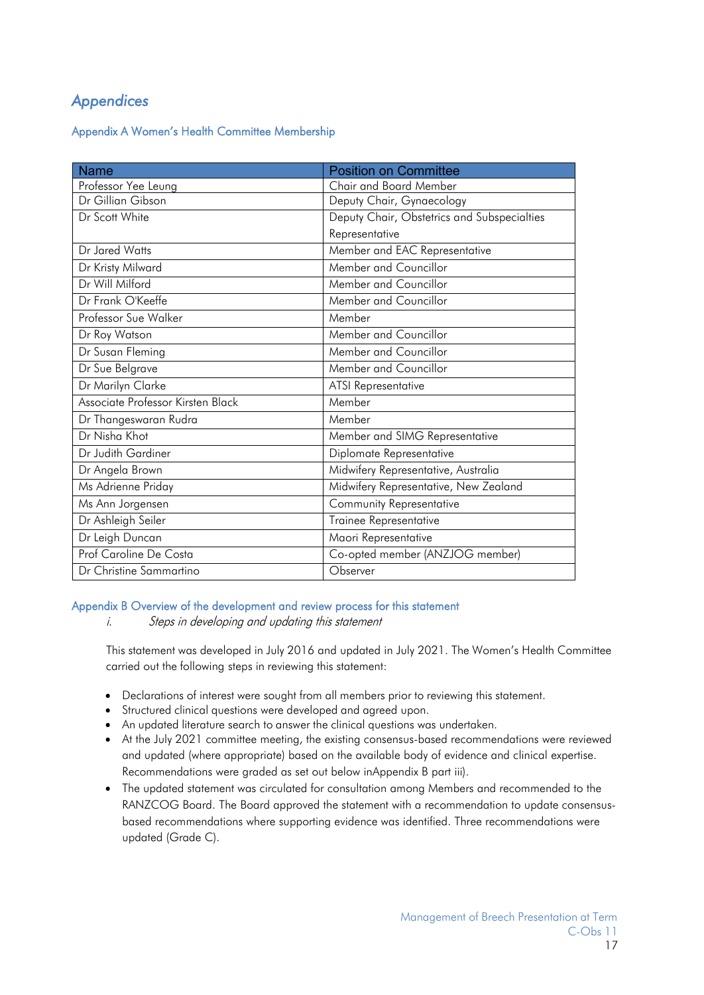# <span id="page-16-0"></span>*Appendices*

## Appendix A Women's Health Committee Membership

| <b>Name</b>                       | <b>Position on Committee</b>                |
|-----------------------------------|---------------------------------------------|
| Professor Yee Leung               | Chair and Board Member                      |
| Dr Gillian Gibson                 | Deputy Chair, Gynaecology                   |
| Dr Scott White                    | Deputy Chair, Obstetrics and Subspecialties |
|                                   | Representative                              |
| Dr Jared Watts                    | Member and EAC Representative               |
| Dr Kristy Milward                 | Member and Councillor                       |
| Dr Will Milford                   | Member and Councillor                       |
| Dr Frank O'Keeffe                 | Member and Councillor                       |
| Professor Sue Walker              | Member                                      |
| Dr Roy Watson                     | Member and Councillor                       |
| Dr Susan Fleming                  | Member and Councillor                       |
| Dr Sue Belgrave                   | Member and Councillor                       |
| Dr Marilyn Clarke                 | <b>ATSI Representative</b>                  |
| Associate Professor Kirsten Black | Member                                      |
| Dr Thangeswaran Rudra             | Member                                      |
| Dr Nisha Khot                     | Member and SIMG Representative              |
| Dr Judith Gardiner                | Diplomate Representative                    |
| Dr Angela Brown                   | Midwifery Representative, Australia         |
| Ms Adrienne Priday                | Midwifery Representative, New Zealand       |
| Ms Ann Jorgensen                  | <b>Community Representative</b>             |
| Dr Ashleigh Seiler                | Trainee Representative                      |
| Dr Leigh Duncan                   | Maori Representative                        |
| Prof Caroline De Costa            | Co-opted member (ANZJOG member)             |
| Dr Christine Sammartino           | Observer                                    |

#### <span id="page-16-1"></span>Appendix B Overview of the development and review process for this statement

i. Steps in developing and updating this statement

This statement was developed in July 2016 and updated in July 2021. The Women's Health Committee carried out the following steps in reviewing this statement:

- Declarations of interest were sought from all members prior to reviewing this statement.
- Structured clinical questions were developed and agreed upon.
- An updated literature search to answer the clinical questions was undertaken.
- At the July 2021 committee meeting, the existing consensus-based recommendations were reviewed and updated (where appropriate) based on the available body of evidence and clinical expertise. Recommendations were graded as set out below inAppendix B part iii).
- The updated statement was circulated for consultation among Members and recommended to the RANZCOG Board. The Board approved the statement with a recommendation to update consensusbased recommendations where supporting evidence was identified. Three recommendations were updated (Grade C).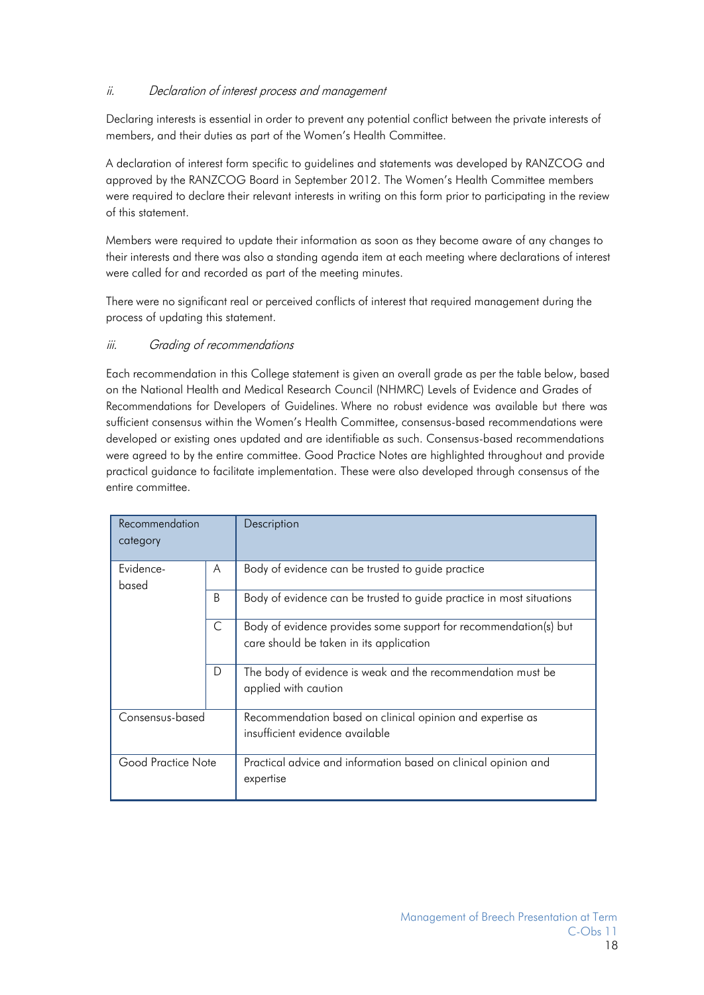## <span id="page-17-0"></span>ii. Declaration of interest process and management

Declaring interests is essential in order to prevent any potential conflict between the private interests of members, and their duties as part of the Women's Health Committee.

A declaration of interest form specific to guidelines and statements was developed by RANZCOG and approved by the RANZCOG Board in September 2012. The Women's Health Committee members were required to declare their relevant interests in writing on this form prior to participating in the review of this statement.

Members were required to update their information as soon as they become aware of any changes to their interests and there was also a standing agenda item at each meeting where declarations of interest were called for and recorded as part of the meeting minutes.

There were no significant real or perceived conflicts of interest that required management during the process of updating this statement.

## iii. Grading of recommendations

Each recommendation in this College statement is given an overall grade as per the table below, based on the National Health and Medical Research Council (NHMRC) Levels of Evidence and Grades of Recommendations for Developers of Guidelines. Where no robust evidence was available but there was sufficient consensus within the Women's Health Committee, consensus-based recommendations were developed or existing ones updated and are identifiable as such. Consensus-based recommendations were agreed to by the entire committee. Good Practice Notes are highlighted throughout and provide practical guidance to facilitate implementation. These were also developed through consensus of the entire committee.

| Recommendation     |   | Description                                                          |
|--------------------|---|----------------------------------------------------------------------|
| category           |   |                                                                      |
|                    |   |                                                                      |
| Evidence-          | A | Body of evidence can be trusted to guide practice                    |
| based              |   |                                                                      |
|                    | B | Body of evidence can be trusted to guide practice in most situations |
|                    | C | Body of evidence provides some support for recommendation(s) but     |
|                    |   | care should be taken in its application                              |
|                    |   |                                                                      |
|                    | D | The body of evidence is weak and the recommendation must be          |
|                    |   | applied with caution                                                 |
|                    |   |                                                                      |
| Consensus-based    |   | Recommendation based on clinical opinion and expertise as            |
|                    |   | insufficient evidence available                                      |
|                    |   |                                                                      |
| Good Practice Note |   | Practical advice and information based on clinical opinion and       |
|                    |   | expertise                                                            |
|                    |   |                                                                      |